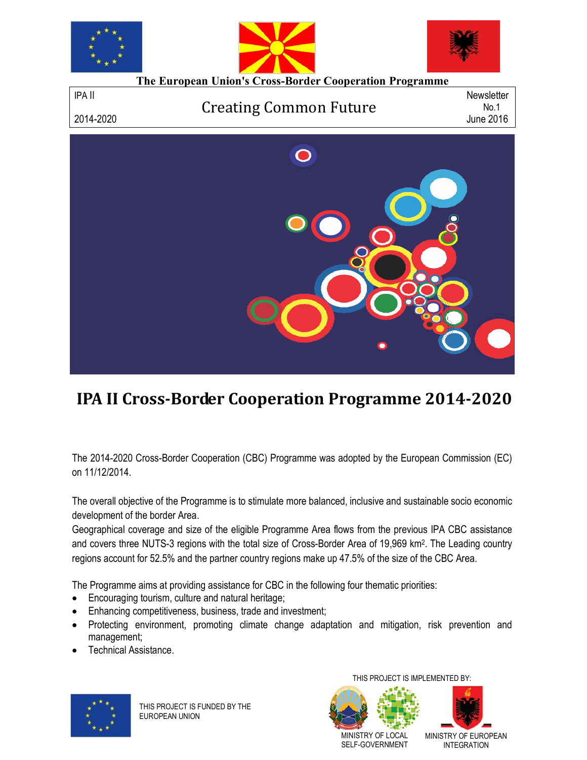

# **IPA II Cross-Border Cooperation Programme 2014-2020**

The 2014-2020 Cross-Border Cooperation (CBC) Programme was adopted by the European Commission (EC) on 11/12/2014.

The overall objective of the Programme is to stimulate more balanced, inclusive and sustainable socio economic development of the border Area.

Geographical coverage and size of the eligible Programme Area flows from the previous IPA CBC assistance and covers three NUTS-3 regions with the total size of Cross-Border Area of 19,969 km2. The Leading country regions account for 52.5% and the partner country regions make up 47.5% of the size of the CBC Area.

The Programme aims at providing assistance for CBC in the following four thematic priorities:

- **Encouraging tourism, culture and natural heritage;**
- Enhancing competitiveness, business, trade and investment;
- Protecting environment, promoting climate change adaptation and mitigation, risk prevention and management;
- Technical Assistance.



THIS PROJECT IS FUNDED BY THE EUROPEAN UNION

THIS PROJECT IS IMPLEMENTED BY:





MINISTRY OF LOCAL SELF-GOVERNMENT MINISTRY OF EUROPEAN INTEGRATION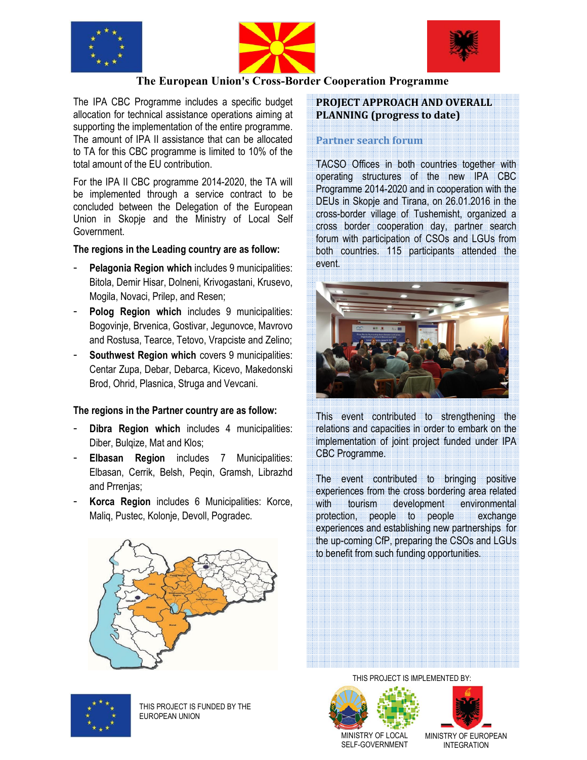





# **The European Union's Cross-Border Cooperation Programme**

The IPA CBC Programme includes a specific budget allocation for technical assistance operations aiming at supporting the implementation of the entire programme. The amount of IPA II assistance that can be allocated to TA for this CBC programme is limited to 10% of the total amount of the EU contribution.

For the IPA II CBC programme 2014-2020, the TA will be implemented through a service contract to be concluded between the Delegation of the European Union in Skopje and the Ministry of Local Self Government.

#### **The regions in the Leading country are as follow:**

- Pelagonia Region which includes 9 municipalities: Bitola, Demir Hisar, Dolneni, Krivogastani, Krusevo, Mogila, Novaci, Prilep, and Resen;
- **Polog Region which** includes 9 municipalities: Bogovinje, Brvenica, Gostivar, Jegunovce, Mavrovo and Rostusa, Tearce, Tetovo, Vrapciste and Zelino;
- **Southwest Region which covers 9 municipalities:** Centar Zupa, Debar, Debarca, Kicevo, Makedonski Brod, Ohrid, Plasnica, Struga and Vevcani.

#### **The regions in the Partner country are as follow:**

- Dibra Region which includes 4 municipalities: Diber, Bulqize, Mat and Klos;
- **Elbasan Region** includes 7 Municipalities: Elbasan, Cerrik, Belsh, Peqin, Gramsh, Librazhd and Prrenjas;
- **Korca Region** includes 6 Municipalities: Korce, Maliq, Pustec, Kolonje, Devoll, Pogradec.

## **PROJECT APPROACH AND OVERALL PLANNING (progress to date)**

#### **Partner search forum**

 TACSO Offices in both countries together with operating structures of the new IPA CBC Programme 2014-2020 and in cooperation with the DEUs in Skopje and Tirana, on 26.01.2016 in the cross-border village of Tushemisht, organized a cross border cooperation day, partner search forum with participation of CSOs and LGUs from both countries. 115 participants attended the event.



This event contributed to strengthening the relations and capacities in order to embark on the implementation of joint project funded under IPA CBC Programme.

The event contributed to bringing positive experiences from the cross bordering area related with tourism development environmental protection, people to people exchange experiences and establishing new partnerships for the up-coming CfP, preparing the CSOs and LGUs to benefit from such funding opportunities.





THIS PROJECT IS FUNDED BY THE EUROPEAN UNION

THIS PROJECT IS IMPLEMENTED BY:





MINISTRY OF LOCAL SELF-GOVERNMENT MINISTRY OF EUROPEAN INTEGRATION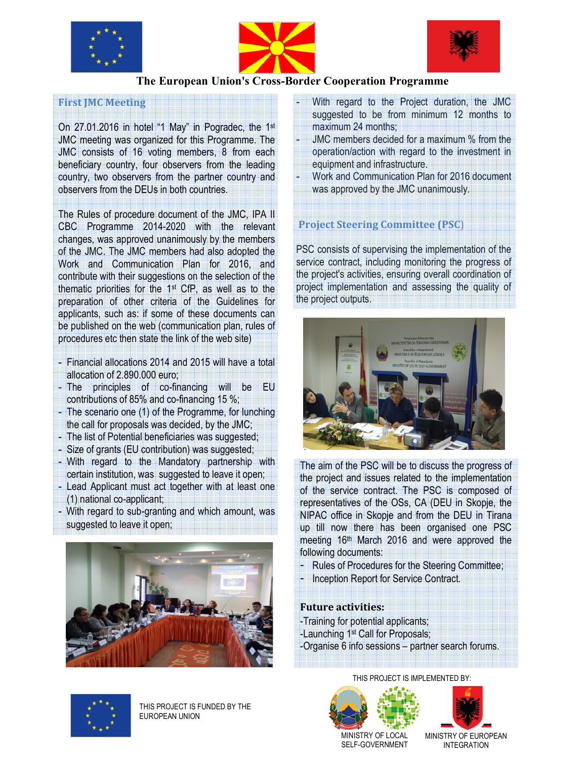





## **The European Union's Cross-Border Cooperation Programme**

## **First JMC Meeting**

On 27.01.2016 in hotel "1 May" in Pogradec, the 1st JMC meeting was organized for this Programme. The JMC consists of 16 voting members, 8 from each beneficiary country, four observers from the leading country, two observers from the partner country and observers from the DEUs in both countries.

 The Rules of procedure document of the JMC, IPA II CBC Programme 2014-2020 with the relevant changes, was approved unanimously by the members of the JMC. The JMC members had also adopted the Work and Communication Plan for 2016, and contribute with their suggestions on the selection of the thematic priorities for the 1st CfP, as well as to the preparation of other criteria of the Guidelines for applicants, such as: if some of these documents can be published on the web (communication plan, rules of procedures etc then state the link of the web site)

- Financial allocations 2014 and 2015 will have a total allocation of 2.890.000 euro;
- The principles of co-financing will be EU contributions of 85% and co-financing 15 %;
- The scenario one (1) of the Programme, for lunching the call for proposals was decided, by the JMC;
- The list of Potential beneficiaries was suggested;
- Size of grants (EU contribution) was suggested;
- With regard to the Mandatory partnership with certain institution, was suggested to leave it open;
- Lead Applicant must act together with at least one (1) national co-applicant;
- With regard to sub-granting and which amount, was suggested to leave it open;



- With regard to the Project duration, the JMC suggested to be from minimum 12 months to maximum 24 months;
- JMC members decided for a maximum % from the operation/action with regard to the investment in equipment and infrastructure.
- Work and Communication Plan for 2016 document was approved by the JMC unanimously.

# **Project Steering Committee (PSC**)

PSC consists of supervising the implementation of the service contract, including monitoring the progress of the project's activities, ensuring overall coordination of project implementation and assessing the quality of the project outputs.



The aim of the PSC will be to discuss the progress of the project and issues related to the implementation of the service contract. The PSC is composed of representatives of the OSs, CA (DEU in Skopje, the NIPAC office in Skopje and from the DEU in Tirana up till now there has been organised one PSC meeting 16<sup>th</sup> March 2016 and were approved the following documents:

- Rules of Procedures for the Steering Committee;
- Inception Report for Service Contract.

#### **Future activities:**

-Training for potential applicants; -Launching 1st Call for Proposals; -Organise 6 info sessions – partner search forums.





THIS PROJECT IS FUNDED BY THE EUROPEAN UNION

MINISTRY OF LOCAL SELF-GOVERNMENT

MINISTRY OF EUROPEAN INTEGRATION